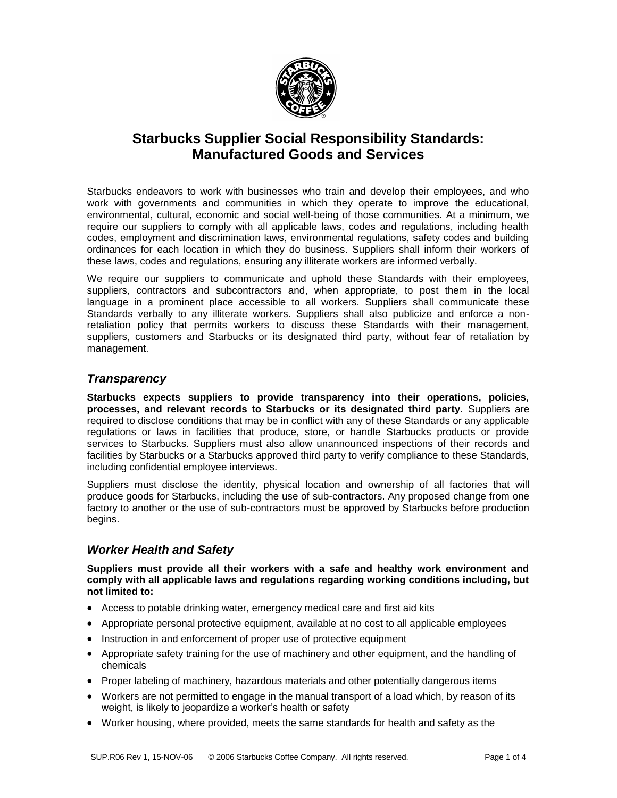

# **Starbucks Supplier Social Responsibility Standards: Manufactured Goods and Services**

Starbucks endeavors to work with businesses who train and develop their employees, and who work with governments and communities in which they operate to improve the educational, environmental, cultural, economic and social well-being of those communities. At a minimum, we require our suppliers to comply with all applicable laws, codes and regulations, including health codes, employment and discrimination laws, environmental regulations, safety codes and building ordinances for each location in which they do business. Suppliers shall inform their workers of these laws, codes and regulations, ensuring any illiterate workers are informed verbally.

We require our suppliers to communicate and uphold these Standards with their employees, suppliers, contractors and subcontractors and, when appropriate, to post them in the local language in a prominent place accessible to all workers. Suppliers shall communicate these Standards verbally to any illiterate workers. Suppliers shall also publicize and enforce a nonretaliation policy that permits workers to discuss these Standards with their management, suppliers, customers and Starbucks or its designated third party, without fear of retaliation by management.

## *Transparency*

**Starbucks expects suppliers to provide transparency into their operations, policies, processes, and relevant records to Starbucks or its designated third party.** Suppliers are required to disclose conditions that may be in conflict with any of these Standards or any applicable regulations or laws in facilities that produce, store, or handle Starbucks products or provide services to Starbucks. Suppliers must also allow unannounced inspections of their records and facilities by Starbucks or a Starbucks approved third party to verify compliance to these Standards, including confidential employee interviews.

Suppliers must disclose the identity, physical location and ownership of all factories that will produce goods for Starbucks, including the use of sub-contractors. Any proposed change from one factory to another or the use of sub-contractors must be approved by Starbucks before production begins.

## *Worker Health and Safety*

**Suppliers must provide all their workers with a safe and healthy work environment and comply with all applicable laws and regulations regarding working conditions including, but not limited to:**

- Access to potable drinking water, emergency medical care and first aid kits
- Appropriate personal protective equipment, available at no cost to all applicable employees
- Instruction in and enforcement of proper use of protective equipment
- Appropriate safety training for the use of machinery and other equipment, and the handling of chemicals
- Proper labeling of machinery, hazardous materials and other potentially dangerous items
- Workers are not permitted to engage in the manual transport of a load which, by reason of its weight, is likely to jeopardize a worker's health or safety
- Worker housing, where provided, meets the same standards for health and safety as the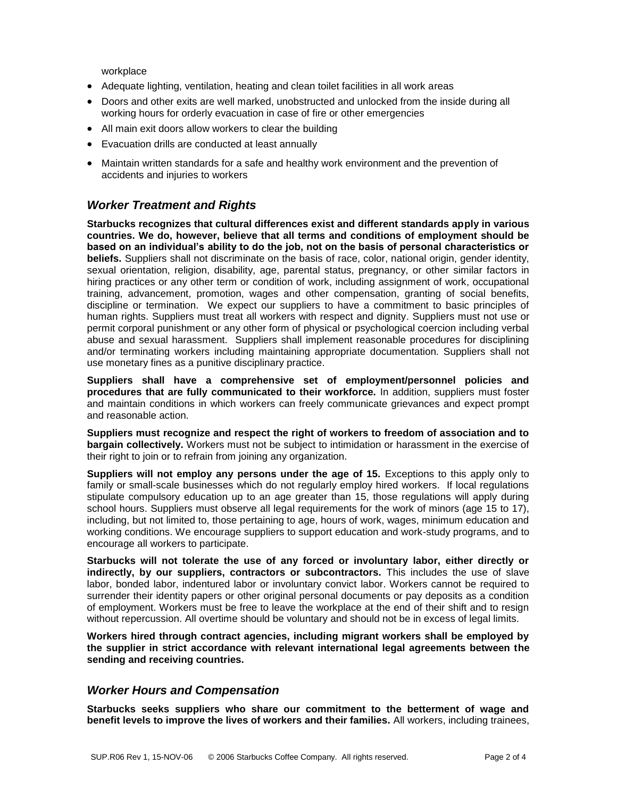workplace

- Adequate lighting, ventilation, heating and clean toilet facilities in all work areas
- Doors and other exits are well marked, unobstructed and unlocked from the inside during all working hours for orderly evacuation in case of fire or other emergencies
- All main exit doors allow workers to clear the building
- Evacuation drills are conducted at least annually
- Maintain written standards for a safe and healthy work environment and the prevention of accidents and injuries to workers

## *Worker Treatment and Rights*

**Starbucks recognizes that cultural differences exist and different standards apply in various countries. We do, however, believe that all terms and conditions of employment should be based on an individual's ability to do the job, not on the basis of personal characteristics or beliefs.** Suppliers shall not discriminate on the basis of race, color, national origin, gender identity, sexual orientation, religion, disability, age, parental status, pregnancy, or other similar factors in hiring practices or any other term or condition of work, including assignment of work, occupational training, advancement, promotion, wages and other compensation, granting of social benefits, discipline or termination. We expect our suppliers to have a commitment to basic principles of human rights. Suppliers must treat all workers with respect and dignity. Suppliers must not use or permit corporal punishment or any other form of physical or psychological coercion including verbal abuse and sexual harassment. Suppliers shall implement reasonable procedures for disciplining and/or terminating workers including maintaining appropriate documentation. Suppliers shall not use monetary fines as a punitive disciplinary practice.

**Suppliers shall have a comprehensive set of employment/personnel policies and procedures that are fully communicated to their workforce.** In addition, suppliers must foster and maintain conditions in which workers can freely communicate grievances and expect prompt and reasonable action.

**Suppliers must recognize and respect the right of workers to freedom of association and to bargain collectively.** Workers must not be subject to intimidation or harassment in the exercise of their right to join or to refrain from joining any organization.

**Suppliers will not employ any persons under the age of 15.** Exceptions to this apply only to family or small-scale businesses which do not regularly employ hired workers. If local regulations stipulate compulsory education up to an age greater than 15, those regulations will apply during school hours. Suppliers must observe all legal requirements for the work of minors (age 15 to 17), including, but not limited to, those pertaining to age, hours of work, wages, minimum education and working conditions. We encourage suppliers to support education and work-study programs, and to encourage all workers to participate.

**Starbucks will not tolerate the use of any forced or involuntary labor, either directly or indirectly, by our suppliers, contractors or subcontractors.** This includes the use of slave labor, bonded labor, indentured labor or involuntary convict labor. Workers cannot be required to surrender their identity papers or other original personal documents or pay deposits as a condition of employment. Workers must be free to leave the workplace at the end of their shift and to resign without repercussion. All overtime should be voluntary and should not be in excess of legal limits.

**Workers hired through contract agencies, including migrant workers shall be employed by the supplier in strict accordance with relevant international legal agreements between the sending and receiving countries.**

## *Worker Hours and Compensation*

**Starbucks seeks suppliers who share our commitment to the betterment of wage and benefit levels to improve the lives of workers and their families.** All workers, including trainees,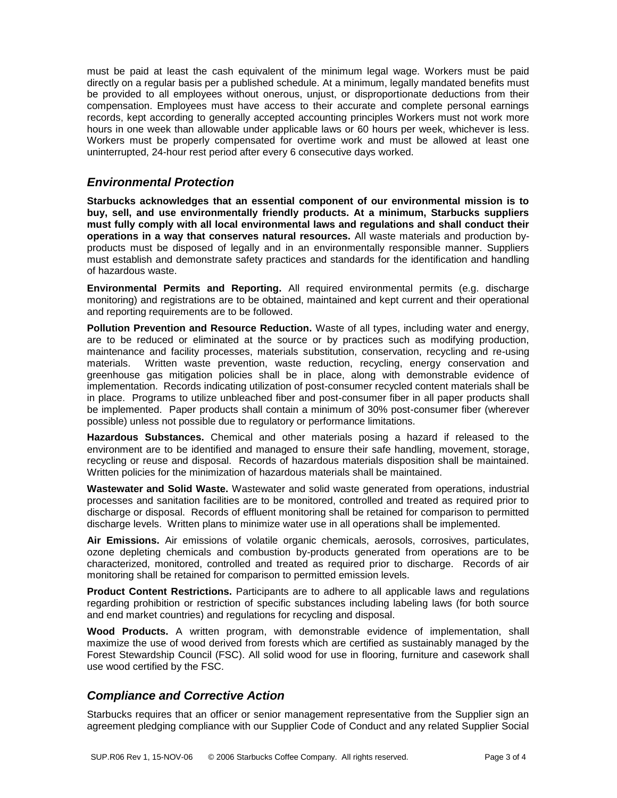must be paid at least the cash equivalent of the minimum legal wage. Workers must be paid directly on a regular basis per a published schedule. At a minimum, legally mandated benefits must be provided to all employees without onerous, unjust, or disproportionate deductions from their compensation. Employees must have access to their accurate and complete personal earnings records, kept according to generally accepted accounting principles Workers must not work more hours in one week than allowable under applicable laws or 60 hours per week, whichever is less. Workers must be properly compensated for overtime work and must be allowed at least one uninterrupted, 24-hour rest period after every 6 consecutive days worked.

### *Environmental Protection*

**Starbucks acknowledges that an essential component of our environmental mission is to buy, sell, and use environmentally friendly products. At a minimum, Starbucks suppliers must fully comply with all local environmental laws and regulations and shall conduct their operations in a way that conserves natural resources.** All waste materials and production byproducts must be disposed of legally and in an environmentally responsible manner. Suppliers must establish and demonstrate safety practices and standards for the identification and handling of hazardous waste.

**Environmental Permits and Reporting.** All required environmental permits (e.g. discharge monitoring) and registrations are to be obtained, maintained and kept current and their operational and reporting requirements are to be followed.

**Pollution Prevention and Resource Reduction.** Waste of all types, including water and energy, are to be reduced or eliminated at the source or by practices such as modifying production, maintenance and facility processes, materials substitution, conservation, recycling and re-using materials. Written waste prevention, waste reduction, recycling, energy conservation and greenhouse gas mitigation policies shall be in place, along with demonstrable evidence of implementation. Records indicating utilization of post-consumer recycled content materials shall be in place. Programs to utilize unbleached fiber and post-consumer fiber in all paper products shall be implemented. Paper products shall contain a minimum of 30% post-consumer fiber (wherever possible) unless not possible due to regulatory or performance limitations.

**Hazardous Substances.** Chemical and other materials posing a hazard if released to the environment are to be identified and managed to ensure their safe handling, movement, storage, recycling or reuse and disposal. Records of hazardous materials disposition shall be maintained. Written policies for the minimization of hazardous materials shall be maintained.

**Wastewater and Solid Waste.** Wastewater and solid waste generated from operations, industrial processes and sanitation facilities are to be monitored, controlled and treated as required prior to discharge or disposal. Records of effluent monitoring shall be retained for comparison to permitted discharge levels. Written plans to minimize water use in all operations shall be implemented.

**Air Emissions.** Air emissions of volatile organic chemicals, aerosols, corrosives, particulates, ozone depleting chemicals and combustion by-products generated from operations are to be characterized, monitored, controlled and treated as required prior to discharge. Records of air monitoring shall be retained for comparison to permitted emission levels.

**Product Content Restrictions.** Participants are to adhere to all applicable laws and regulations regarding prohibition or restriction of specific substances including labeling laws (for both source and end market countries) and regulations for recycling and disposal.

**Wood Products.** A written program, with demonstrable evidence of implementation, shall maximize the use of wood derived from forests which are certified as sustainably managed by the Forest Stewardship Council (FSC). All solid wood for use in flooring, furniture and casework shall use wood certified by the FSC.

## *Compliance and Corrective Action*

Starbucks requires that an officer or senior management representative from the Supplier sign an agreement pledging compliance with our Supplier Code of Conduct and any related Supplier Social